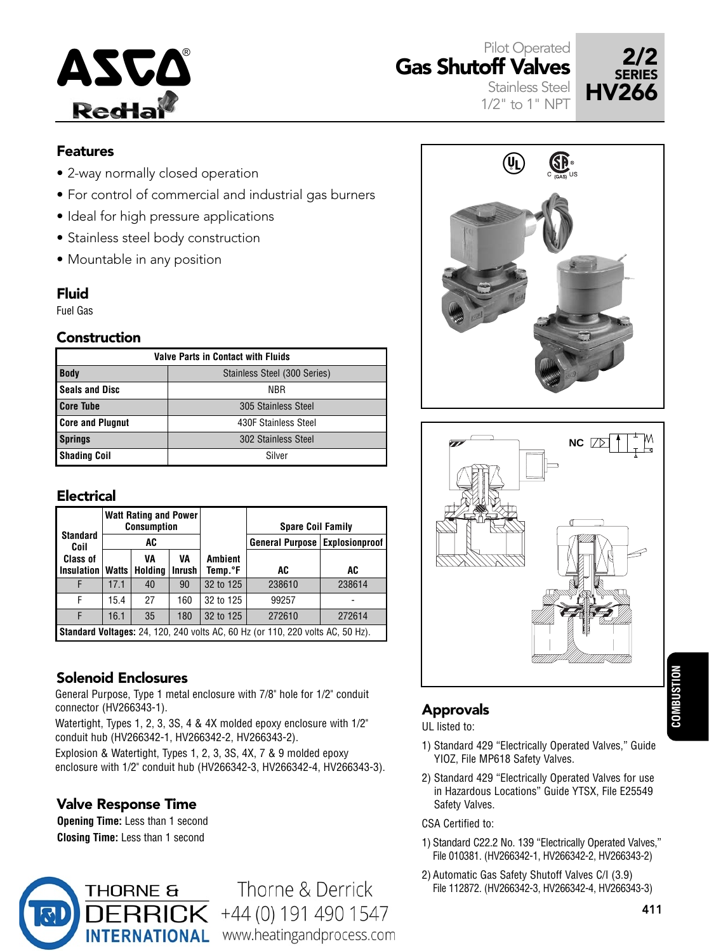

Gas Shutoff Valves Stainless Steel

1/2" to 1" NPT



### Features

- 2-way normally closed operation
- For control of commercial and industrial gas burners
- Ideal for high pressure applications
- Stainless steel body construction
- Mountable in any position

### Fluid

Fuel Gas

### **Construction**

| <b>Valve Parts in Contact with Fluids</b> |                              |  |  |  |  |  |  |  |  |
|-------------------------------------------|------------------------------|--|--|--|--|--|--|--|--|
| <b>Body</b>                               | Stainless Steel (300 Series) |  |  |  |  |  |  |  |  |
| <b>Seals and Disc</b>                     | NBR                          |  |  |  |  |  |  |  |  |
| <b>Core Tube</b>                          | 305 Stainless Steel          |  |  |  |  |  |  |  |  |
| <b>Core and Plugnut</b>                   | 430F Stainless Steel         |  |  |  |  |  |  |  |  |
| <b>Springs</b>                            | 302 Stainless Steel          |  |  |  |  |  |  |  |  |
| <b>Shading Coil</b>                       | Silver                       |  |  |  |  |  |  |  |  |

### **Electrical**

|                         |                                                                                       | <b>Watt Rating and Power</b><br><b>Consumption</b> |               |                | <b>Spare Coil Family</b>         |        |  |  |  |  |
|-------------------------|---------------------------------------------------------------------------------------|----------------------------------------------------|---------------|----------------|----------------------------------|--------|--|--|--|--|
| <b>Standard</b><br>Coil |                                                                                       | AC                                                 |               |                | General Purpose   Explosionproof |        |  |  |  |  |
| <b>Class of</b>         |                                                                                       | VA                                                 | VA            | <b>Ambient</b> |                                  |        |  |  |  |  |
| <b>Insulation</b>       | Holding<br>Watts                                                                      |                                                    | <b>Inrush</b> | Temp.°F        | AC                               | AC     |  |  |  |  |
|                         | 17.1                                                                                  | 40                                                 | 90            | 32 to 125      | 238610                           | 238614 |  |  |  |  |
| F                       | 15.4                                                                                  | 27                                                 | 160           | 32 to 125      | 99257                            |        |  |  |  |  |
| F                       | 16.1                                                                                  | 35                                                 | 180           | 32 to 125      | 272610                           | 272614 |  |  |  |  |
|                         | <b>Standard Voltages:</b> 24, 120, 240 volts AC, 60 Hz (or 110, 220 volts AC, 50 Hz). |                                                    |               |                |                                  |        |  |  |  |  |

## Solenoid Enclosures

General Purpose, Type 1 metal enclosure with 7/8" hole for 1/2" conduit connector (HV266343-1).

Watertight, Types 1, 2, 3, 3S, 4 & 4X molded epoxy enclosure with 1/2" conduit hub (HV266342-1, HV266342-2, HV266343-2).

Explosion & Watertight, Types 1, 2, 3, 3S, 4X, 7 & 9 molded epoxy enclosure with 1/2" conduit hub (HV266342-3, HV266342-4, HV266343-3).

## Valve Response Time

**Opening Time:** Less than 1 second **Closing Time:** Less than 1 second



Thorne & Derrick  $\leq$  +44 (0) 191 490 1547 INTERNATIONAL www.heatingandprocess.com





# **COMBUSTION COMBUSTION**

## Approvals

UL listed to:

- 1) Standard 429 "Electrically Operated Valves," Guide YIOZ, File MP618 Safety Valves.
- 2) Standard 429 "Electrically Operated Valves for use in Hazardous Locations" Guide YTSX, File E25549 Safety Valves.

#### CSA Certified to:

- 1) Standard C22.2 No. 139 "Electrically Operated Valves," File 010381. (HV266342-1, HV266342-2, HV266343-2)
- 2) Automatic Gas Safety Shutoff Valves C/I (3.9) File 112872. (HV266342-3, HV266342-4, HV266343-3)